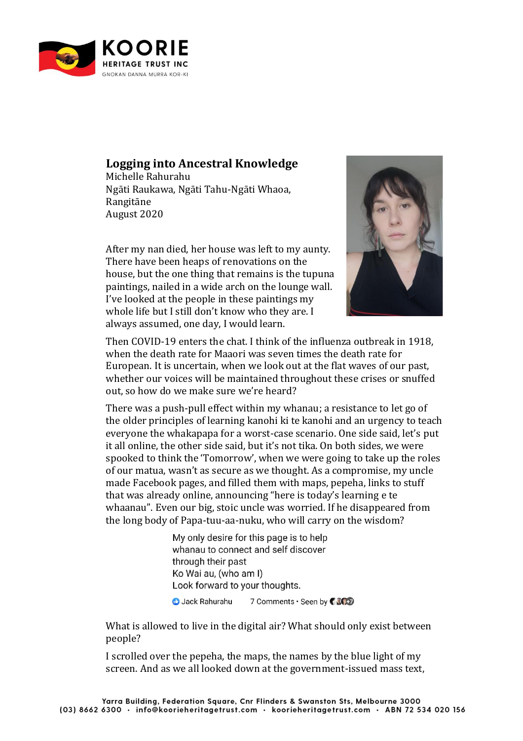

## **Logging into Ancestral Knowledge**

Michelle Rahurahu Ngāti Raukawa, Ngāti Tahu-Ngāti Whaoa, Rangitāne August 2020

After my nan died, her house was left to my aunty. There have been heaps of renovations on the house, but the one thing that remains is the tupuna paintings, nailed in a wide arch on the lounge wall. I've looked at the people in these paintings my whole life but I still don't know who they are. I always assumed, one day, I would learn.



Then COVID-19 enters the chat. I think of the influenza outbreak in 1918, when the death rate for Maaori was seven times the death rate for European. It is uncertain, when we look out at the flat waves of our past, whether our voices will be maintained throughout these crises or snuffed out, so how do we make sure we're heard?

There was a push-pull effect within my whanau; a resistance to let go of the older principles of learning kanohi ki te kanohi and an urgency to teach everyone the whakapapa for a worst-case scenario. One side said, let's put it all online, the other side said, but it's not tika. On both sides, we were spooked to think the 'Tomorrow', when we were going to take up the roles of our matua, wasn't as secure as we thought. As a compromise, my uncle made Facebook pages, and filled them with maps, pepeha, links to stuff that was already online, announcing "here is today's learning e te whaanau". Even our big, stoic uncle was worried. If he disappeared from the long body of Papa-tuu-aa-nuku, who will carry on the wisdom?

> My only desire for this page is to help whanau to connect and self discover through their past Ko Wai au, (who am I) Look forward to your thoughts.

**O** Jack Rahurahu 7 Comments . Seen by CACD

What is allowed to live in the digital air? What should only exist between people?

I scrolled over the pepeha, the maps, the names by the blue light of my screen. And as we all looked down at the government-issued mass text,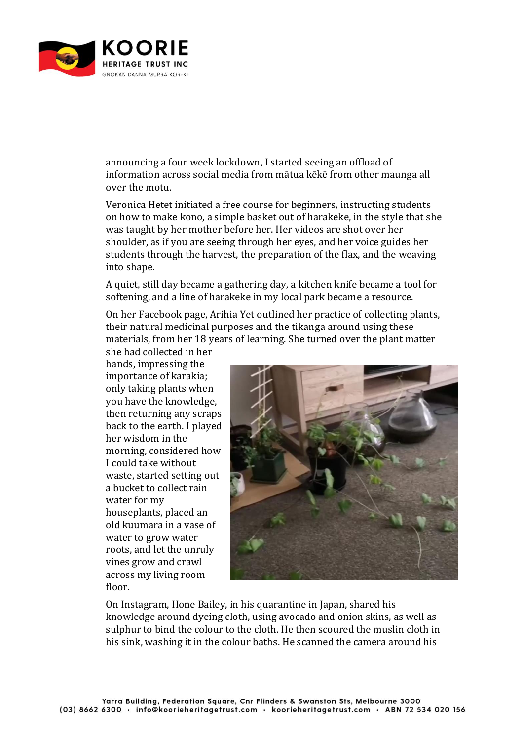

announcing a four week lockdown, I started seeing an offload of information across social media from mātua kēkē from other maunga all over the motu.

Veronica Hetet initiated a free course for beginners, instructing students on how to make kono, a simple basket out of harakeke, in the style that she was taught by her mother before her. Her videos are shot over her shoulder, as if you are seeing through her eyes, and her voice guides her students through the harvest, the preparation of the flax, and the weaving into shape.

A quiet, still day became a gathering day, a kitchen knife became a tool for softening, and a line of harakeke in my local park became a resource.

On her Facebook page, Arihia Yet outlined her practice of collecting plants, their natural medicinal purposes and the tikanga around using these materials, from her 18 years of learning. She turned over the plant matter

she had collected in her hands, impressing the importance of karakia; only taking plants when you have the knowledge, then returning any scraps back to the earth. I played her wisdom in the morning, considered how I could take without waste, started setting out a bucket to collect rain water for my houseplants, placed an old kuumara in a vase of water to grow water roots, and let the unruly vines grow and crawl across my living room floor.



On Instagram, Hone Bailey, in his quarantine in Japan, shared his knowledge around dyeing cloth, using avocado and onion skins, as well as sulphur to bind the colour to the cloth. He then scoured the muslin cloth in his sink, washing it in the colour baths. He scanned the camera around his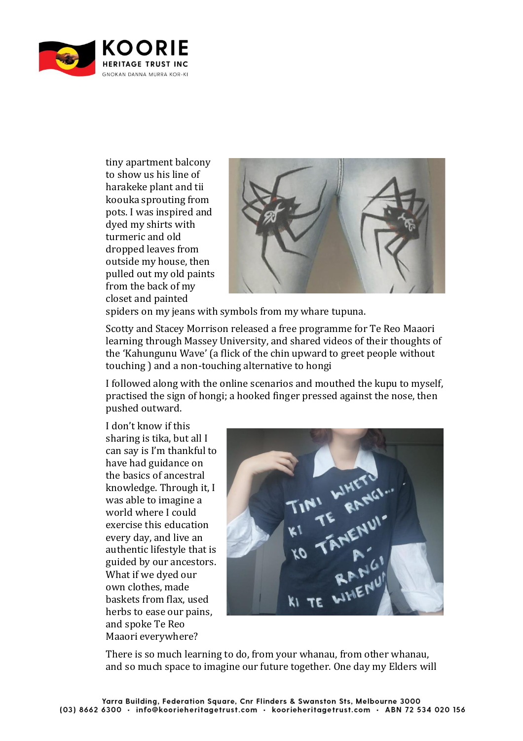

tiny apartment balcony to show us his line of harakeke plant and tii koouka sprouting from pots. I was inspired and dyed my shirts with turmeric and old dropped leaves from outside my house, then pulled out my old paints from the back of my closet and painted



spiders on my jeans with symbols from my whare tupuna.

Scotty and Stacey Morrison released a free programme for Te Reo Maaori learning through Massey University, and shared videos of their thoughts of the 'Kahungunu Wave' (a flick of the chin upward to greet people without touching ) and a non-touching alternative to hongi

I followed along with the online scenarios and mouthed the kupu to myself, practised the sign of hongi; a hooked finger pressed against the nose, then pushed outward.

I don't know if this sharing is tika, but all I can say is I'm thankful to have had guidance on the basics of ancestral knowledge. Through it, I was able to imagine a world where I could exercise this education every day, and live an authentic lifestyle that is guided by our ancestors. What if we dyed our own clothes, made baskets from flax, used herbs to ease our pains, and spoke Te Reo Maaori everywhere?



There is so much learning to do, from your whanau, from other whanau, and so much space to imagine our future together. One day my Elders will